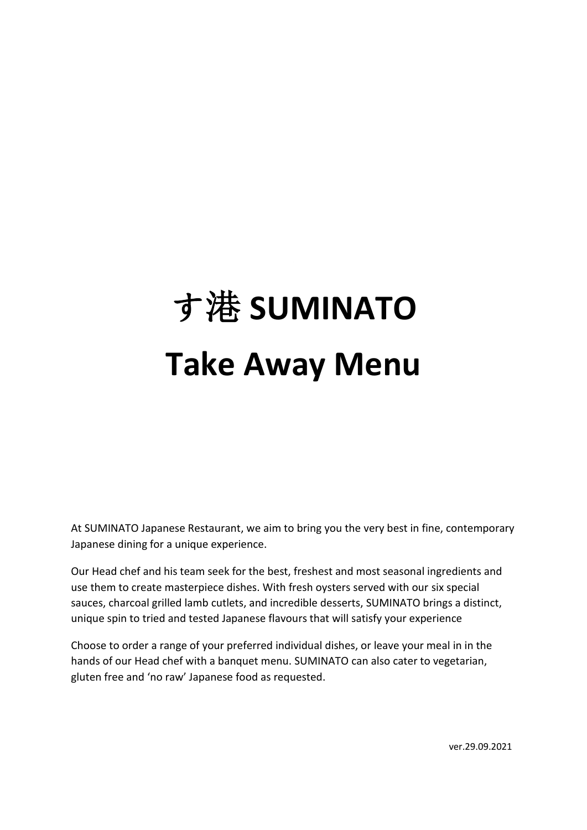# す港 **SUMINATO Take Away Menu**

At SUMINATO Japanese Restaurant, we aim to bring you the very best in fine, contemporary Japanese dining for a unique experience.

Our Head chef and his team seek for the best, freshest and most seasonal ingredients and use them to create masterpiece dishes. With fresh oysters served with our six special sauces, charcoal grilled lamb cutlets, and incredible desserts, SUMINATO brings a distinct, unique spin to tried and tested Japanese flavours that will satisfy your experience

Choose to order a range of your preferred individual dishes, or leave your meal in in the hands of our Head chef with a banquet menu. SUMINATO can also cater to vegetarian, gluten free and 'no raw' Japanese food as requested.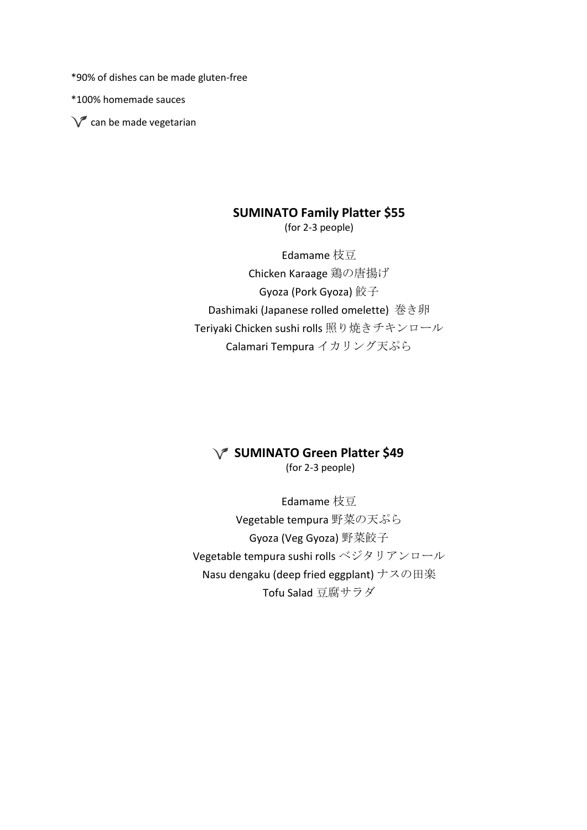\*90% of dishes can be made gluten-free

\*100% homemade sauces

 $\sqrt{\phantom{a}}$  can be made vegetarian

#### **SUMINATO Family Platter \$55**

(for 2-3 people)

Edamame 枝豆 Chicken Karaage 鶏の唐揚げ Gyoza (Pork Gyoza) 餃子 Dashimaki (Japanese rolled omelette) 巻き卵 Teriyaki Chicken sushi rolls 照り焼きチキンロール Calamari Tempura イカリング天ぷら

#### **SUMINATO Green Platter \$49**

(for 2-3 people)

Edamame 枝豆 Vegetable tempura 野菜の天ぷら Gyoza (Veg Gyoza) 野菜餃子 Vegetable tempura sushi rolls ベジタリアンロール Nasu dengaku (deep fried eggplant) ナスの田楽 Tofu Salad 豆腐サラダ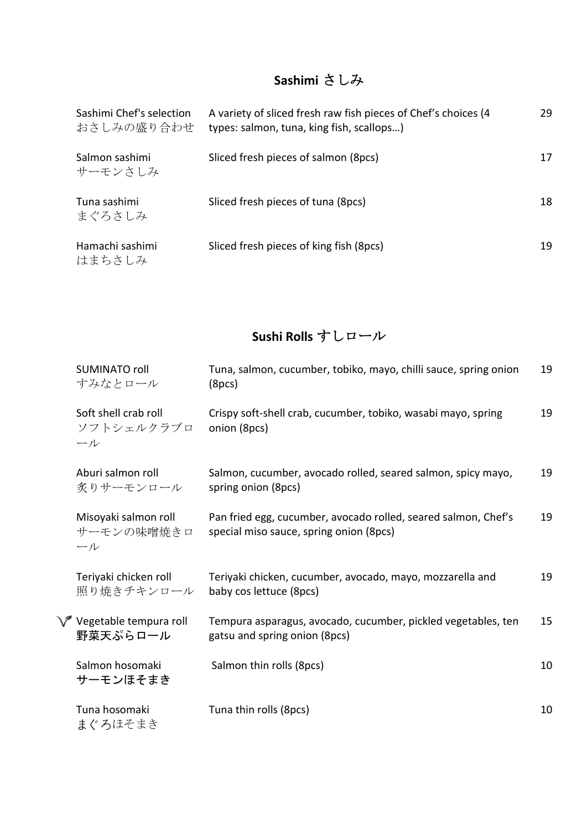### **Sashimi** さしみ

| Sashimi Chef's selection<br>おさしみの盛り合わせ | A variety of sliced fresh raw fish pieces of Chef's choices (4<br>types: salmon, tuna, king fish, scallops) | 29 |
|----------------------------------------|-------------------------------------------------------------------------------------------------------------|----|
| Salmon sashimi<br>サーモンさしみ              | Sliced fresh pieces of salmon (8pcs)                                                                        | 17 |
| Tuna sashimi<br>まぐろさしみ                 | Sliced fresh pieces of tuna (8pcs)                                                                          | 18 |
| Hamachi sashimi<br>はまちさしみ              | Sliced fresh pieces of king fish (8pcs)                                                                     | 19 |

## **Sushi Rolls** すしロール

| SUMINATO roll<br>すみなとロール                    | Tuna, salmon, cucumber, tobiko, mayo, chilli sauce, spring onion<br>(8pcs)                                | 19 |
|---------------------------------------------|-----------------------------------------------------------------------------------------------------------|----|
| Soft shell crab roll<br>ソフトシェルクラブロ<br>ール    | Crispy soft-shell crab, cucumber, tobiko, wasabi mayo, spring<br>onion (8pcs)                             | 19 |
| Aburi salmon roll<br>炙りサーモンロール              | Salmon, cucumber, avocado rolled, seared salmon, spicy mayo,<br>spring onion (8pcs)                       | 19 |
| Misoyaki salmon roll<br>サーモンの味噌焼きロ<br>ール    | Pan fried egg, cucumber, avocado rolled, seared salmon, Chef's<br>special miso sauce, spring onion (8pcs) | 19 |
| Teriyaki chicken roll<br>照り焼きチキンロール         | Teriyaki chicken, cucumber, avocado, mayo, mozzarella and<br>baby cos lettuce (8pcs)                      | 19 |
| <b>√</b> Vegetable tempura roll<br>野菜天ぷらロール | Tempura asparagus, avocado, cucumber, pickled vegetables, ten<br>gatsu and spring onion (8pcs)            | 15 |
| Salmon hosomaki<br>サーモンほそまき                 | Salmon thin rolls (8pcs)                                                                                  | 10 |
| Tuna hosomaki<br>まぐろほそまき                    | Tuna thin rolls (8pcs)                                                                                    | 10 |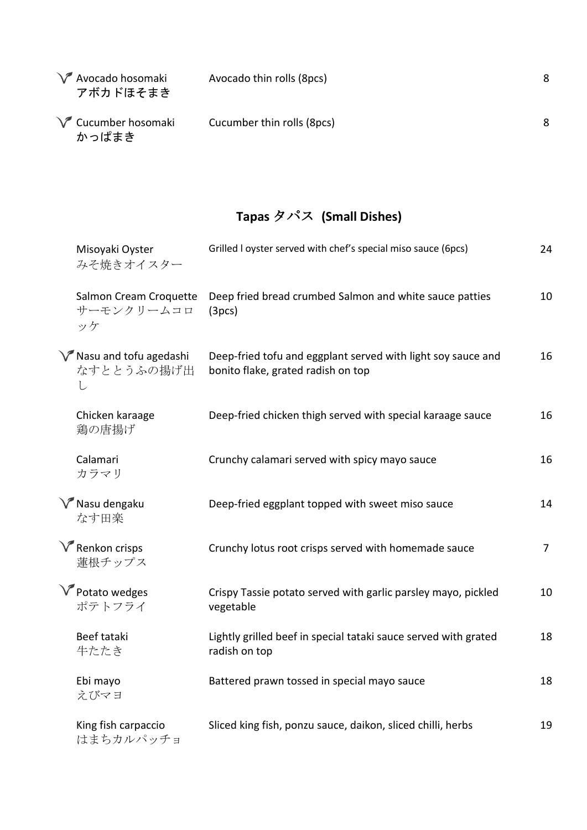| Y Avocado hosomaki<br>アボカドほそまき | Avocado thin rolls (8pcs)  | 8 |
|--------------------------------|----------------------------|---|
| Cucumber hosomaki<br>かっぱまき     | Cucumber thin rolls (8pcs) | 8 |

## **Tapas** タパス **(Small Dishes)**

| Misoyaki Oyster<br>みそ焼きオイスター                               | Grilled I oyster served with chef's special miso sauce (6pcs)                                      | 24             |
|------------------------------------------------------------|----------------------------------------------------------------------------------------------------|----------------|
| Salmon Cream Croquette<br>サーモンクリームコロ<br>ッケ                 | Deep fried bread crumbed Salmon and white sauce patties<br>(3pcs)                                  | 10             |
| $\sqrt{\ }$ Nasu and tofu agedashi<br>なすととうふの揚げ出<br>$\cup$ | Deep-fried tofu and eggplant served with light soy sauce and<br>bonito flake, grated radish on top | 16             |
| Chicken karaage<br>鶏の唐揚げ                                   | Deep-fried chicken thigh served with special karaage sauce                                         | 16             |
| Calamari<br>カラマリ                                           | Crunchy calamari served with spicy mayo sauce                                                      | 16             |
| $\sqrt{\ }$ Nasu dengaku<br>なす田楽                           | Deep-fried eggplant topped with sweet miso sauce                                                   | 14             |
| $\sqrt{\ }$ Renkon crisps<br>蓮根チップス                        | Crunchy lotus root crisps served with homemade sauce                                               | 7 <sup>1</sup> |
| V Potato wedges<br>ポテトフライ                                  | Crispy Tassie potato served with garlic parsley mayo, pickled<br>vegetable                         | 10             |
| Beef tataki<br>牛たたき                                        | Lightly grilled beef in special tataki sauce served with grated<br>radish on top                   | 18             |
| Ebi mayo<br>えびマヨ                                           | Battered prawn tossed in special mayo sauce                                                        | 18             |
| King fish carpaccio<br>はまちカルパッチョ                           | Sliced king fish, ponzu sauce, daikon, sliced chilli, herbs                                        | 19             |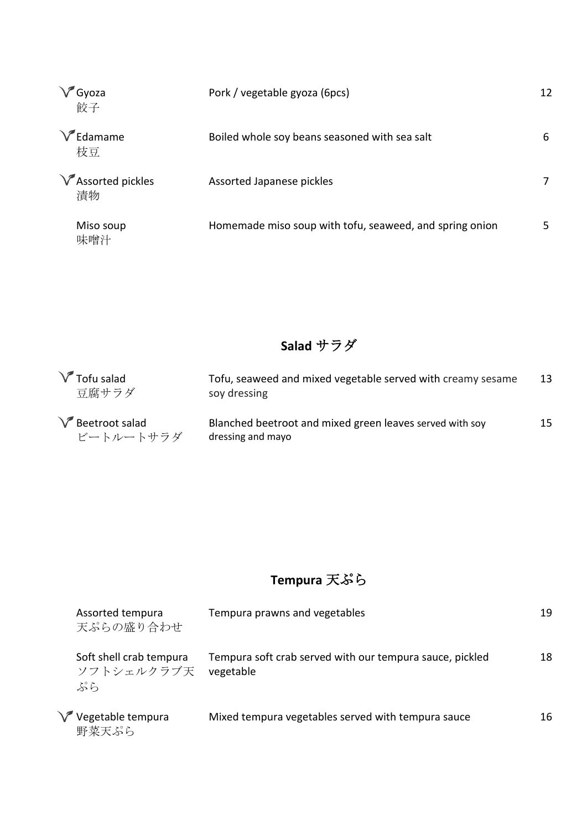| $\sqrt{\phantom{a}}$<br>'Gyoza<br>餃子 | Pork / vegetable gyoza (6pcs)                           | 12 |
|--------------------------------------|---------------------------------------------------------|----|
| Edamame<br>枝豆                        | Boiled whole soy beans seasoned with sea salt           | 6  |
| $\sqrt{\ }$ Assorted pickles<br>漬物   | Assorted Japanese pickles                               |    |
| Miso soup<br>味噌汁                     | Homemade miso soup with tofu, seaweed, and spring onion |    |

## **Salad** サラダ

| $\sqrt{\ }$ Tofu salad<br>豆腐サラダ | Tofu, seaweed and mixed vegetable served with creamy sesame<br>soy dressing   | 13              |
|---------------------------------|-------------------------------------------------------------------------------|-----------------|
| Beetroot salad<br>ビートルートサラダ     | Blanched beetroot and mixed green leaves served with soy<br>dressing and mayo | 15 <sub>1</sub> |

## **Tempura** 天ぷら

| Assorted tempura<br>天ぷらの盛り合わせ               | Tempura prawns and vegetables                                         | 19 |
|---------------------------------------------|-----------------------------------------------------------------------|----|
| Soft shell crab tempura<br>ソフトシェルクラブ天<br>ぷら | Tempura soft crab served with our tempura sauce, pickled<br>vegetable | 18 |
| Vegetable tempura<br>野菜天ぷら                  | Mixed tempura vegetables served with tempura sauce                    | 16 |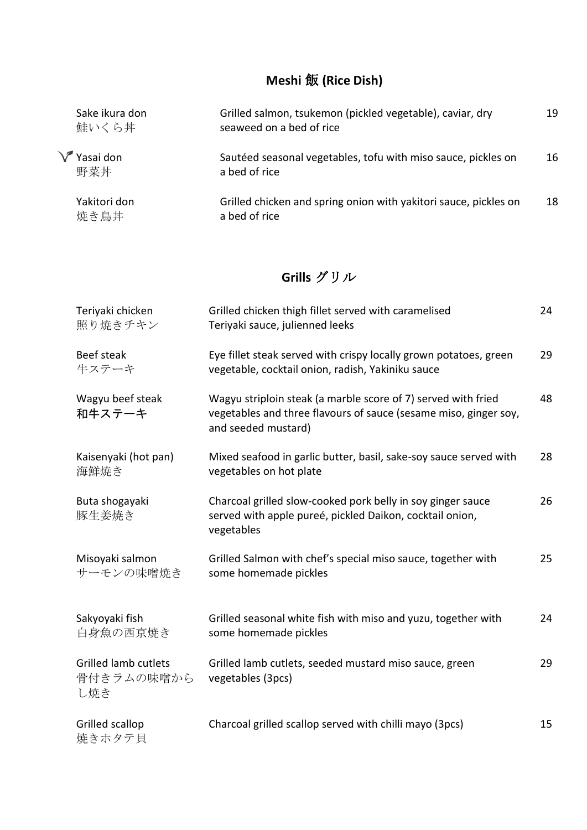## **Meshi** 飯 **(Rice Dish)**

| Sake ikura don<br>鮭いくら丼      | Grilled salmon, tsukemon (pickled vegetable), caviar, dry<br>seaweed on a bed of rice | 19 |
|------------------------------|---------------------------------------------------------------------------------------|----|
| $\sqrt{\ }$ Yasai don<br>野菜丼 | Sautéed seasonal vegetables, tofu with miso sauce, pickles on<br>a bed of rice        | 16 |
| Yakitori don<br>焼き鳥丼         | Grilled chicken and spring onion with yakitori sauce, pickles on<br>a bed of rice     | 18 |

#### **Grills** グリル

| Teriyaki chicken<br>照り焼きチキン                      | Grilled chicken thigh fillet served with caramelised<br>Teriyaki sauce, julienned leeks                                                                  | 24 |
|--------------------------------------------------|----------------------------------------------------------------------------------------------------------------------------------------------------------|----|
| Beef steak<br>牛ステーキ                              | Eye fillet steak served with crispy locally grown potatoes, green<br>vegetable, cocktail onion, radish, Yakiniku sauce                                   | 29 |
| Wagyu beef steak<br>和牛ステーキ                       | Wagyu striploin steak (a marble score of 7) served with fried<br>vegetables and three flavours of sauce (sesame miso, ginger soy,<br>and seeded mustard) | 48 |
| Kaisenyaki (hot pan)<br>海鮮焼き                     | Mixed seafood in garlic butter, basil, sake-soy sauce served with<br>vegetables on hot plate                                                             | 28 |
| Buta shogayaki<br>豚生姜焼き                          | Charcoal grilled slow-cooked pork belly in soy ginger sauce<br>served with apple pureé, pickled Daikon, cocktail onion,<br>vegetables                    | 26 |
| Misoyaki salmon<br>サーモンの味噌焼き                     | Grilled Salmon with chef's special miso sauce, together with<br>some homemade pickles                                                                    | 25 |
| Sakyoyaki fish<br>白身魚の西京焼き                       | Grilled seasonal white fish with miso and yuzu, together with<br>some homemade pickles                                                                   | 24 |
| <b>Grilled lamb cutlets</b><br>骨付きラムの味噌から<br>し焼き | Grilled lamb cutlets, seeded mustard miso sauce, green<br>vegetables (3pcs)                                                                              | 29 |
| Grilled scallop<br>焼きホタテ貝                        | Charcoal grilled scallop served with chilli mayo (3pcs)                                                                                                  | 15 |